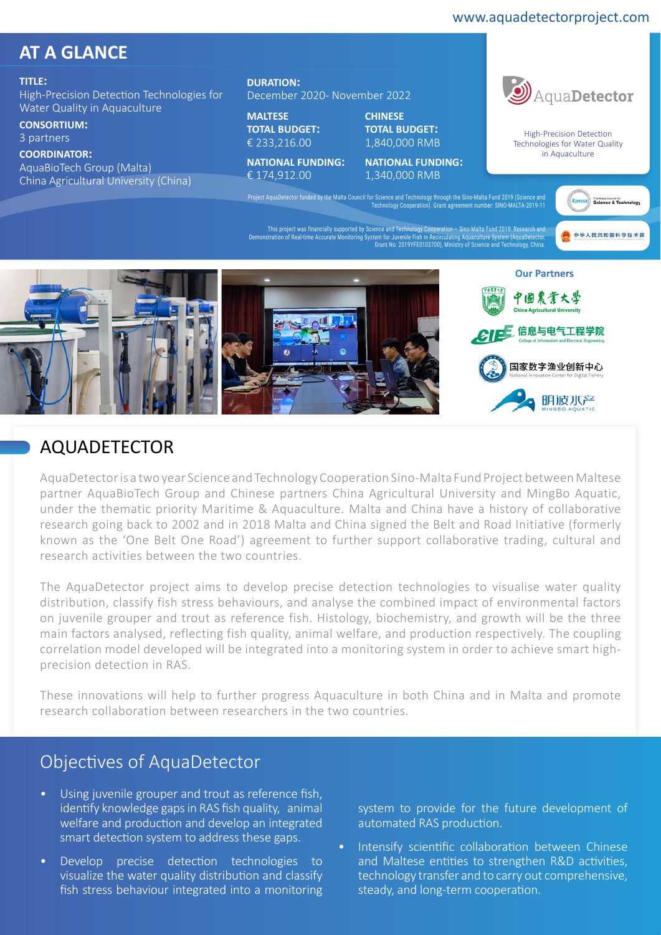#### [www.aquadetectorproject.com](https://aquadetectorproject.com/)

## **AT A GLANCE**

#### **TITLE:**

High-Precision Detection Technologies for Water Quality in Aquaculture

## **CONSORTIUM:**

3 partners

#### **COORDINATOR:**

AquaBioTech Group (Malta) China Agricultural University (China)

#### **DURATION:**

December 2020- November 2022

**MALTESE TOTAL BUDGET:**  € 233,216.00

**NATIONAL FUNDING:**  € 174,912.00

**CHINESE TOTAL BUDGET:**  1,840,000 RMB

**NATIONAL FUNDING:**  1,340,000 RMB



High-Precision Detection Technologies for Water Quality in Aquaculture

Project AquaDetector funded by the Malta Council for Science and Technology through the Sino-Malta Fund 2019 (Science and Technology Cooperation). Grant agreement number: SINO-MALTA-2019-11

Inis project was financially supported by Science and Technology Cooperation – Sino-Malta Fund 2019: Research and<br>Demonstration of Real-time Accurate Monitoring System for Juvenile Fish in Recirculating Aquaculture System





# AQUADETECTOR

AquaDetector is a two year Science and Technology Cooperation Sino-Malta Fund Project between Maltese partner AquaBioTech Group and Chinese partners China Agricultural University and MingBo Aquatic, under the thematic priority Maritime & Aquaculture. Malta and China have a history of collaborative research going back to 2002 and in 2018 Malta and China signed the Belt and Road Initiative (formerly known as the 'One Belt One Road') agreement to further support collaborative trading, cultural and research activities between the two countries.

The AquaDetector project aims to develop precise detection technologies to visualise water quality distribution, classify fish stress behaviours, and analyse the combined impact of environmental factors on juvenile grouper and trout as reference fish. Histology, biochemistry, and growth will be the three main factors analysed, reflecting fish quality, animal welfare, and production respectively. The coupling correlation model developed will be integrated into a monitoring system in order to achieve smart highprecision detection in RAS.

These innovations will help to further progress Aquaculture in both China and in Malta and promote research collaboration between researchers in the two countries.

## Objectives of AquaDetector

- Using juvenile grouper and trout as reference fish, identify knowledge gaps in RAS fish quality, animal welfare and production and develop an integrated smart detection system to address these gaps.
- Develop precise detection technologies to visualize the water quality distribution and classify fish stress behaviour integrated into a monitoring

system to provide for the future development of automated RAS production.

Intensify scientific collaboration between Chinese and Maltese entities to strengthen R&D activities, technology transfer and to carry out comprehensive, steady, and long-term cooperation.